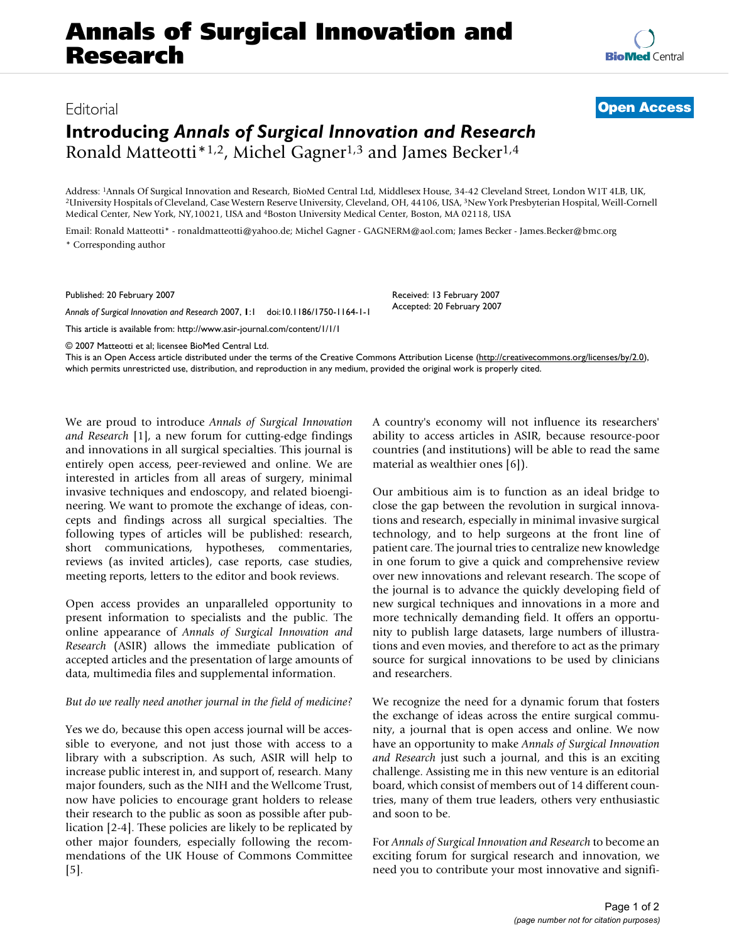# **Annals of Surgical Innovation and Research**

## **Introducing** *Annals of Surgical Innovation and Research* Ronald Matteotti<sup>\*1,2</sup>, Michel Gagner<sup>1,3</sup> and James Becker<sup>1,4</sup>

Address: <sup>1</sup>Annals Of Surgical Innovation and Research, BioMed Central Ltd, Middlesex House, 34-42 Cleveland Street, London W1T 4LB, UK,<br><sup>2</sup>University Hospitals of Cleveland, Case Western Reserve University, Cleveland, OH, Medical Center, New York, NY,10021, USA and 4Boston University Medical Center, Boston, MA 02118, USA

> Received: 13 February 2007 Accepted: 20 February 2007

Email: Ronald Matteotti\* - ronaldmatteotti@yahoo.de; Michel Gagner - GAGNERM@aol.com; James Becker - James.Becker@bmc.org \* Corresponding author

Published: 20 February 2007

*Annals of Surgical Innovation and Research* 2007, **1**:1 doi:10.1186/1750-1164-1-1

[This article is available from: http://www.asir-journal.com/content/1/1/1](http://www.asir-journal.com/content/1/1/1)

© 2007 Matteotti et al; licensee BioMed Central Ltd.

This is an Open Access article distributed under the terms of the Creative Commons Attribution License [\(http://creativecommons.org/licenses/by/2.0\)](http://creativecommons.org/licenses/by/2.0), which permits unrestricted use, distribution, and reproduction in any medium, provided the original work is properly cited.

We are proud to introduce *Annals of Surgical Innovation and Research* [1], a new forum for cutting-edge findings and innovations in all surgical specialties. This journal is entirely open access, peer-reviewed and online. We are interested in articles from all areas of surgery, minimal invasive techniques and endoscopy, and related bioengineering. We want to promote the exchange of ideas, concepts and findings across all surgical specialties. The following types of articles will be published: research, short communications, hypotheses, commentaries, reviews (as invited articles), case reports, case studies, meeting reports, letters to the editor and book reviews.

Open access provides an unparalleled opportunity to present information to specialists and the public. The online appearance of *Annals of Surgical Innovation and Research* (ASIR) allows the immediate publication of accepted articles and the presentation of large amounts of data, multimedia files and supplemental information.

#### *But do we really need another journal in the field of medicine?*

Yes we do, because this open access journal will be accessible to everyone, and not just those with access to a library with a subscription. As such, ASIR will help to increase public interest in, and support of, research. Many major founders, such as the NIH and the Wellcome Trust, now have policies to encourage grant holders to release their research to the public as soon as possible after publication [2-4]. These policies are likely to be replicated by other major founders, especially following the recommendations of the UK House of Commons Committee [5].

A country's economy will not influence its researchers' ability to access articles in ASIR, because resource-poor countries (and institutions) will be able to read the same material as wealthier ones [6]).

Our ambitious aim is to function as an ideal bridge to close the gap between the revolution in surgical innovations and research, especially in minimal invasive surgical technology, and to help surgeons at the front line of patient care. The journal tries to centralize new knowledge in one forum to give a quick and comprehensive review over new innovations and relevant research. The scope of the journal is to advance the quickly developing field of new surgical techniques and innovations in a more and more technically demanding field. It offers an opportunity to publish large datasets, large numbers of illustrations and even movies, and therefore to act as the primary source for surgical innovations to be used by clinicians and researchers.

We recognize the need for a dynamic forum that fosters the exchange of ideas across the entire surgical community, a journal that is open access and online. We now have an opportunity to make *Annals of Surgical Innovation and Research* just such a journal, and this is an exciting challenge. Assisting me in this new venture is an editorial board, which consist of members out of 14 different countries, many of them true leaders, others very enthusiastic and soon to be.

For *Annals of Surgical Innovation and Research* to become an exciting forum for surgical research and innovation, we need you to contribute your most innovative and signifi-



### Editorial **[Open Access](http://www.biomedcentral.com/info/about/charter/)**